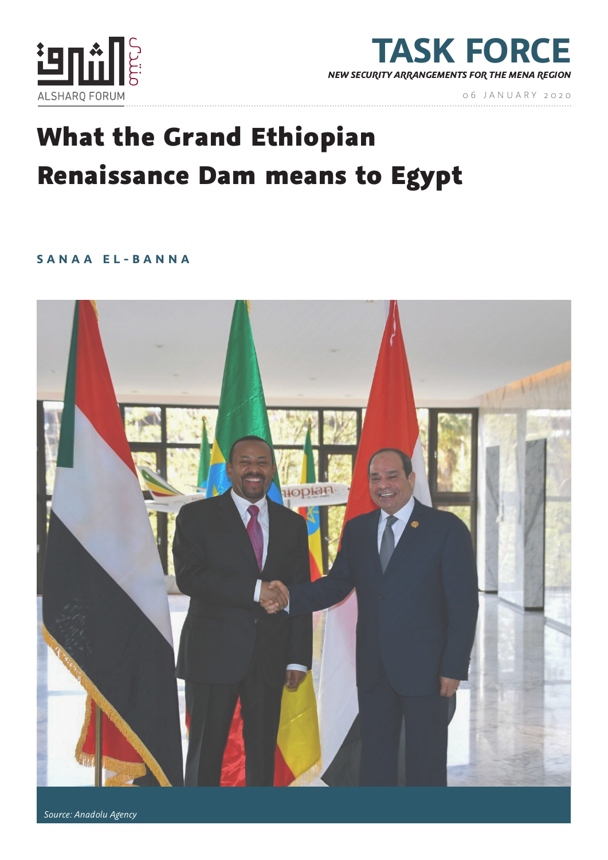



06 JANUARY 2020

# What the Grand Ethiopian Renaissance Dam means to Egypt

**SANAA EL-BANNA**



 *Source: Anadolu Agency*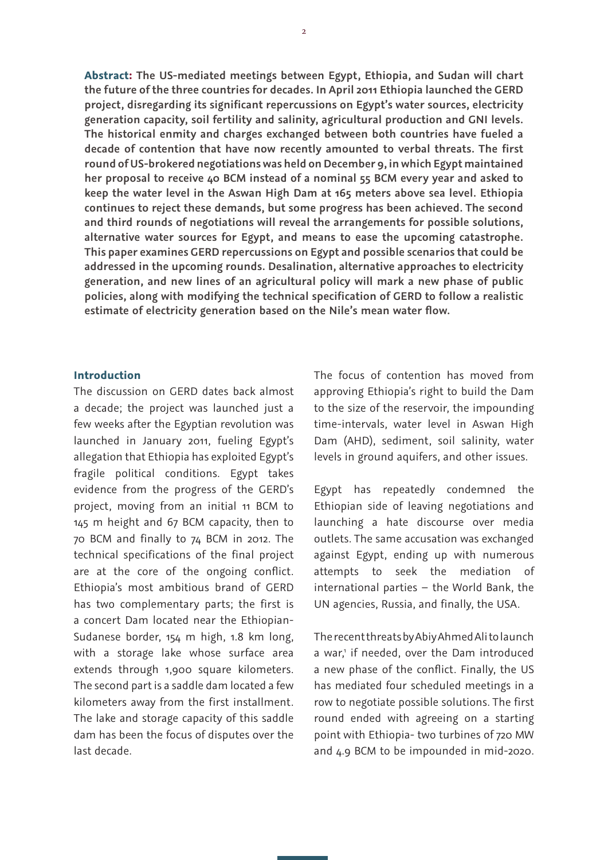**Abstract: The US-mediated meetings between Egypt, Ethiopia, and Sudan will chart the future of the three countries for decades. In April 2011 Ethiopia launched the GERD project, disregarding its significant repercussions on Egypt's water sources, electricity generation capacity, soil fertility and salinity, agricultural production and GNI levels. The historical enmity and charges exchanged between both countries have fueled a decade of contention that have now recently amounted to verbal threats. The first round of US-brokered negotiations was held on December 9, in which Egypt maintained her proposal to receive 40 BCM instead of a nominal 55 BCM every year and asked to keep the water level in the Aswan High Dam at 165 meters above sea level. Ethiopia continues to reject these demands, but some progress has been achieved. The second and third rounds of negotiations will reveal the arrangements for possible solutions, alternative water sources for Egypt, and means to ease the upcoming catastrophe. This paper examines GERD repercussions on Egypt and possible scenarios that could be addressed in the upcoming rounds. Desalination, alternative approaches to electricity generation, and new lines of an agricultural policy will mark a new phase of public policies, along with modifying the technical specification of GERD to follow a realistic estimate of electricity generation based on the Nile's mean water flow.**

#### **Introduction**

The discussion on GERD dates back almost a decade; the project was launched just a few weeks after the Egyptian revolution was launched in January 2011, fueling Egypt's allegation that Ethiopia has exploited Egypt's fragile political conditions. Egypt takes evidence from the progress of the GERD's project, moving from an initial 11 BCM to 145 m height and 67 BCM capacity, then to 70 BCM and finally to 74 BCM in 2012. The technical specifications of the final project are at the core of the ongoing conflict. Ethiopia's most ambitious brand of GERD has two complementary parts; the first is a concert Dam located near the Ethiopian-Sudanese border, 154 m high, 1.8 km long, with a storage lake whose surface area extends through 1,900 square kilometers. The second part is a saddle dam located a few kilometers away from the first installment. The lake and storage capacity of this saddle dam has been the focus of disputes over the last decade.

The focus of contention has moved from approving Ethiopia's right to build the Dam to the size of the reservoir, the impounding time-intervals, water level in Aswan High Dam (AHD), sediment, soil salinity, water levels in ground aquifers, and other issues.

Egypt has repeatedly condemned the Ethiopian side of leaving negotiations and launching a hate discourse over media outlets. The same accusation was exchanged against Egypt, ending up with numerous attempts to seek the mediation of international parties – the World Bank, the UN agencies, Russia, and finally, the USA.

The recent threats by Abiy Ahmed Ali to launch a war,<sup>1</sup> if needed, over the Dam introduced a new phase of the conflict. Finally, the US has mediated four scheduled meetings in a row to negotiate possible solutions. The first round ended with agreeing on a starting point with Ethiopia- two turbines of 720 MW and 4.9 BCM to be impounded in mid-2020.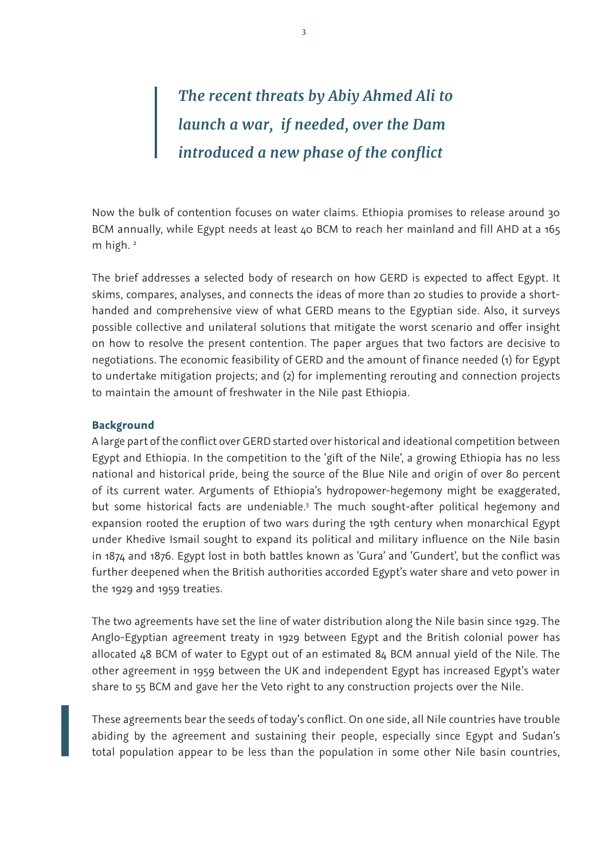# *The recent threats by Abiy Ahmed Ali to launch a war, if needed, over the Dam introduced a new phase of the conflict*

Now the bulk of contention focuses on water claims. Ethiopia promises to release around 30 BCM annually, while Egypt needs at least 40 BCM to reach her mainland and fill AHD at a 165 m high.<sup>2</sup>

The brief addresses a selected body of research on how GERD is expected to affect Egypt. It skims, compares, analyses, and connects the ideas of more than 20 studies to provide a shorthanded and comprehensive view of what GERD means to the Egyptian side. Also, it surveys possible collective and unilateral solutions that mitigate the worst scenario and offer insight on how to resolve the present contention. The paper argues that two factors are decisive to negotiations. The economic feasibility of GERD and the amount of finance needed (1) for Egypt to undertake mitigation projects; and (2) for implementing rerouting and connection projects to maintain the amount of freshwater in the Nile past Ethiopia.

### **Background**

A large part of the conflict over GERD started over historical and ideational competition between Egypt and Ethiopia. In the competition to the 'gift of the Nile', a growing Ethiopia has no less national and historical pride, being the source of the Blue Nile and origin of over 80 percent of its current water. Arguments of Ethiopia's hydropower-hegemony might be exaggerated, but some historical facts are undeniable.<sup>3</sup> The much sought-after political hegemony and expansion rooted the eruption of two wars during the 19th century when monarchical Egypt under Khedive Ismail sought to expand its political and military influence on the Nile basin in 1874 and 1876. Egypt lost in both battles known as 'Gura' and 'Gundert', but the conflict was further deepened when the British authorities accorded Egypt's water share and veto power in the 1929 and 1959 treaties.

The two agreements have set the line of water distribution along the Nile basin since 1929. The Anglo-Egyptian agreement treaty in 1929 between Egypt and the British colonial power has allocated 48 BCM of water to Egypt out of an estimated 84 BCM annual yield of the Nile. The other agreement in 1959 between the UK and independent Egypt has increased Egypt's water share to 55 BCM and gave her the Veto right to any construction projects over the Nile.

These agreements bear the seeds of today's conflict. On one side, all Nile countries have trouble abiding by the agreement and sustaining their people, especially since Egypt and Sudan's total population appear to be less than the population in some other Nile basin countries,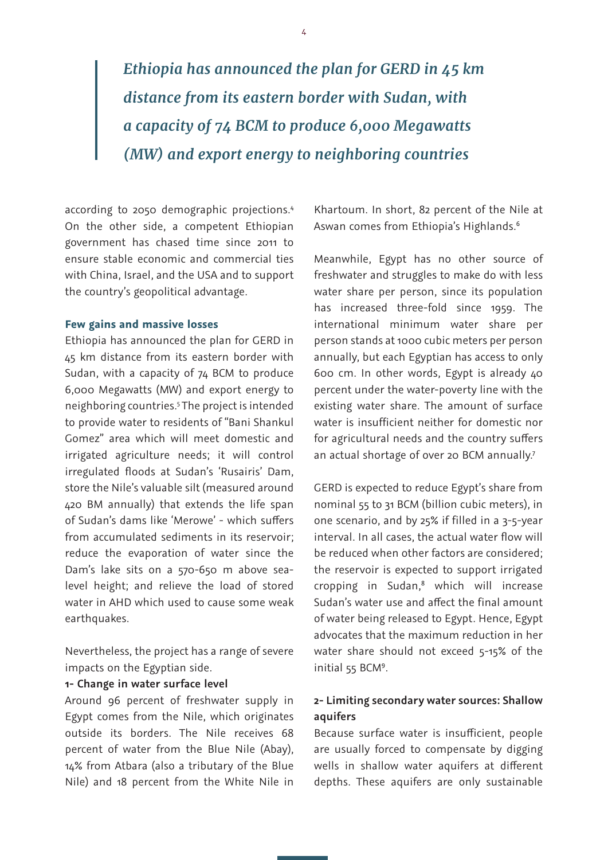# *Ethiopia has announced the plan for GERD in 45 km distance from its eastern border with Sudan, with a capacity of 74 BCM to produce 6,000 Megawatts (MW) and export energy to neighboring countries*

according to 2050 demographic projections.4 On the other side, a competent Ethiopian government has chased time since 2011 to ensure stable economic and commercial ties with China, Israel, and the USA and to support the country's geopolitical advantage.

#### **Few gains and massive losses**

Ethiopia has announced the plan for GERD in 45 km distance from its eastern border with Sudan, with a capacity of 74 BCM to produce 6,000 Megawatts (MW) and export energy to neighboring countries.5 The project is intended to provide water to residents of "Bani Shankul Gomez" area which will meet domestic and irrigated agriculture needs; it will control irregulated floods at Sudan's 'Rusairis' Dam, store the Nile's valuable silt (measured around 420 BM annually) that extends the life span of Sudan's dams like 'Merowe' - which suffers from accumulated sediments in its reservoir; reduce the evaporation of water since the Dam's lake sits on a 570-650 m above sealevel height; and relieve the load of stored water in AHD which used to cause some weak earthquakes.

Nevertheless, the project has a range of severe impacts on the Egyptian side.

#### **1- Change in water surface level**

Around 96 percent of freshwater supply in Egypt comes from the Nile, which originates outside its borders. The Nile receives 68 percent of water from the Blue Nile (Abay), 14% from Atbara (also a tributary of the Blue Nile) and 18 percent from the White Nile in

Khartoum. In short, 82 percent of the Nile at Aswan comes from Ethiopia's Highlands.6

Meanwhile, Egypt has no other source of freshwater and struggles to make do with less water share per person, since its population has increased three-fold since 1959. The international minimum water share per person stands at 1000 cubic meters per person annually, but each Egyptian has access to only 600 cm. In other words, Egypt is already 40 percent under the water-poverty line with the existing water share. The amount of surface water is insufficient neither for domestic nor for agricultural needs and the country suffers an actual shortage of over 20 BCM annually.<sup>7</sup>

GERD is expected to reduce Egypt's share from nominal 55 to 31 BCM (billion cubic meters), in one scenario, and by 25% if filled in a 3-5-year interval. In all cases, the actual water flow will be reduced when other factors are considered; the reservoir is expected to support irrigated cropping in Sudan,8 which will increase Sudan's water use and affect the final amount of water being released to Egypt. Hence, Egypt advocates that the maximum reduction in her water share should not exceed 5-15% of the initial 55 BCM<sup>9</sup>.

# **2- Limiting secondary water sources: Shallow aquifers**

Because surface water is insufficient, people are usually forced to compensate by digging wells in shallow water aquifers at different depths. These aquifers are only sustainable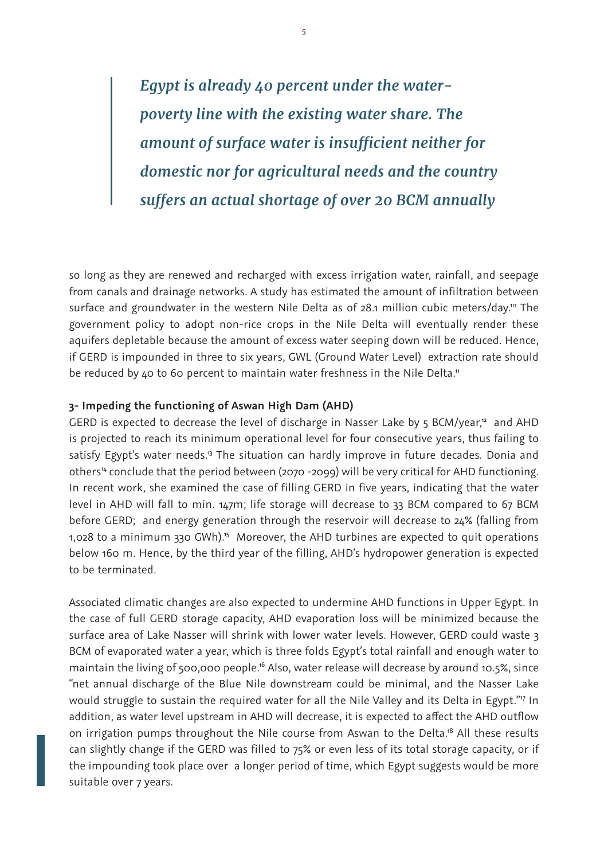*Egypt is already 40 percent under the waterpoverty line with the existing water share. The amount of surface water is insufficient neither for domestic nor for agricultural needs and the country suffers an actual shortage of over 20 BCM annually*

so long as they are renewed and recharged with excess irrigation water, rainfall, and seepage from canals and drainage networks. A study has estimated the amount of infiltration between surface and groundwater in the western Nile Delta as of 28.1 million cubic meters/day.<sup>10</sup> The government policy to adopt non-rice crops in the Nile Delta will eventually render these aquifers depletable because the amount of excess water seeping down will be reduced. Hence, if GERD is impounded in three to six years, GWL (Ground Water Level) extraction rate should be reduced by 40 to 60 percent to maintain water freshness in the Nile Delta.<sup>11</sup>

### **3- Impeding the functioning of Aswan High Dam (AHD)**

GERD is expected to decrease the level of discharge in Nasser Lake by 5 BCM/year,<sup>12</sup> and AHD is projected to reach its minimum operational level for four consecutive years, thus failing to satisfy Egypt's water needs.<sup>13</sup> The situation can hardly improve in future decades. Donia and others<sup>14</sup> conclude that the period between (2070 -2099) will be very critical for AHD functioning. In recent work, she examined the case of filling GERD in five years, indicating that the water level in AHD will fall to min. 147m; life storage will decrease to 33 BCM compared to 67 BCM before GERD; and energy generation through the reservoir will decrease to 24% (falling from 1,028 to a minimum 330 GWh).<sup>5</sup> Moreover, the AHD turbines are expected to quit operations below 160 m. Hence, by the third year of the filling, AHD's hydropower generation is expected to be terminated.

Associated climatic changes are also expected to undermine AHD functions in Upper Egypt. In the case of full GERD storage capacity, AHD evaporation loss will be minimized because the surface area of Lake Nasser will shrink with lower water levels. However, GERD could waste 3 BCM of evaporated water a year, which is three folds Egypt's total rainfall and enough water to maintain the living of 500,000 people.<sup>16</sup> Also, water release will decrease by around 10.5%, since "net annual discharge of the Blue Nile downstream could be minimal, and the Nasser Lake would struggle to sustain the required water for all the Nile Valley and its Delta in Egypt."<sup>17</sup> In addition, as water level upstream in AHD will decrease, it is expected to affect the AHD outflow on irrigation pumps throughout the Nile course from Aswan to the Delta.<sup>18</sup> All these results can slightly change if the GERD was filled to 75% or even less of its total storage capacity, or if the impounding took place over a longer period of time, which Egypt suggests would be more suitable over 7 years.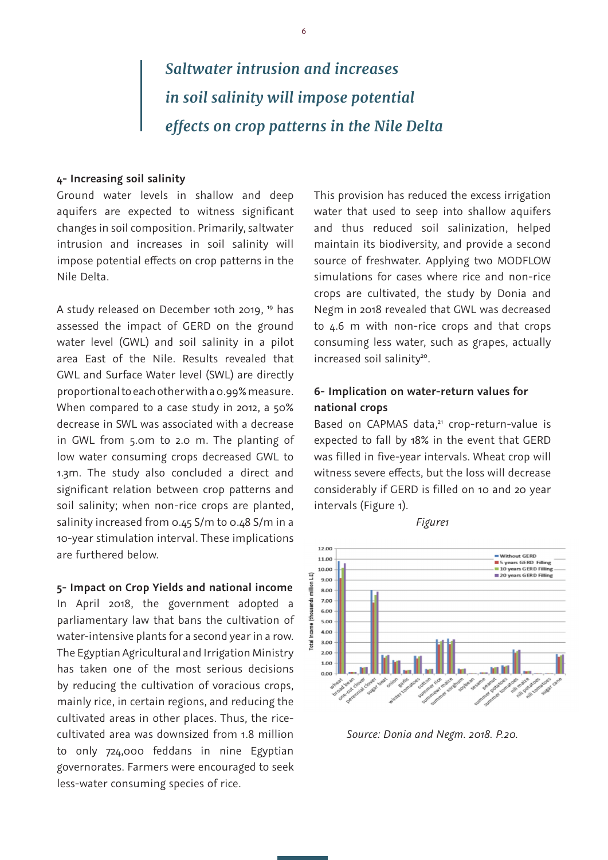# *Saltwater intrusion and increases in soil salinity will impose potential effects on crop patterns in the Nile Delta*

### **4- Increasing soil salinity**

Ground water levels in shallow and deep aquifers are expected to witness significant changes in soil composition. Primarily, saltwater intrusion and increases in soil salinity will impose potential effects on crop patterns in the Nile Delta.

A study released on December 10th 2019, 19 has assessed the impact of GERD on the ground water level (GWL) and soil salinity in a pilot area East of the Nile. Results revealed that GWL and Surface Water level (SWL) are directly proportional to each other with a 0.99% measure. When compared to a case study in 2012, a 50% decrease in SWL was associated with a decrease in GWL from 5.0m to 2.0 m. The planting of low water consuming crops decreased GWL to 1.3m. The study also concluded a direct and significant relation between crop patterns and soil salinity; when non-rice crops are planted, salinity increased from 0.45 S/m to 0.48 S/m in a 10-year stimulation interval. These implications are furthered below.

#### **5- Impact on Crop Yields and national income**

In April 2018, the government adopted a parliamentary law that bans the cultivation of water-intensive plants for a second year in a row. The Egyptian Agricultural and Irrigation Ministry has taken one of the most serious decisions by reducing the cultivation of voracious crops, mainly rice, in certain regions, and reducing the cultivated areas in other places. Thus, the ricecultivated area was downsized from 1.8 million to only 724,000 feddans in nine Egyptian governorates. Farmers were encouraged to seek less-water consuming species of rice.

This provision has reduced the excess irrigation water that used to seep into shallow aquifers and thus reduced soil salinization, helped maintain its biodiversity, and provide a second source of freshwater. Applying two MODFLOW simulations for cases where rice and non-rice crops are cultivated, the study by Donia and Negm in 2018 revealed that GWL was decreased to 4.6 m with non-rice crops and that crops consuming less water, such as grapes, actually increased soil salinity<sup>20</sup>.

# **6- Implication on water-return values for national crops**

Based on CAPMAS data,<sup>21</sup> crop-return-value is expected to fall by 18% in the event that GERD was filled in five-year intervals. Wheat crop will witness severe effects, but the loss will decrease considerably if GERD is filled on 10 and 20 year intervals (Figure 1).

*Figure1* 



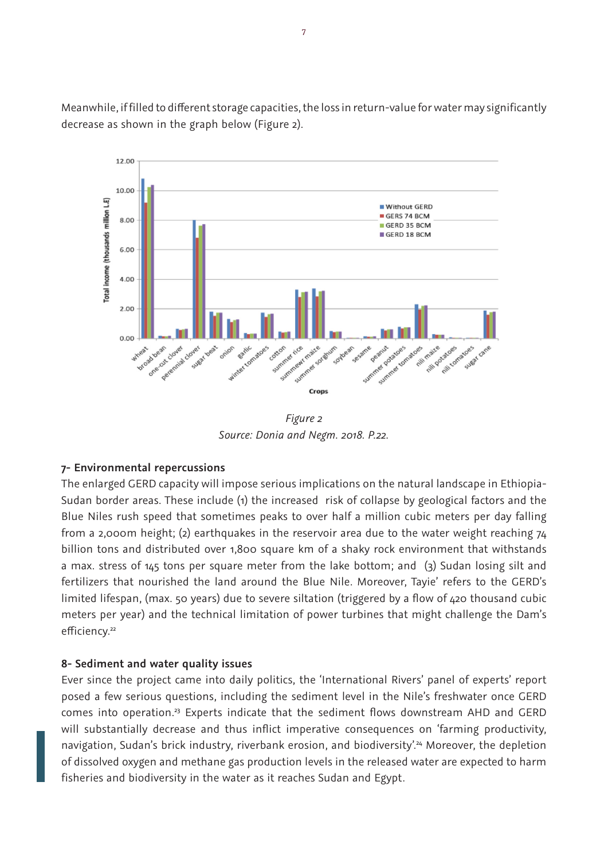Meanwhile, if filled to different storage capacities, the loss in return-value for water may significantly decrease as shown in the graph below (Figure 2).



*Figure 2 Source: Donia and Negm. 2018. P.22.*

# **7- Environmental repercussions**

The enlarged GERD capacity will impose serious implications on the natural landscape in Ethiopia-Sudan border areas. These include (1) the increased risk of collapse by geological factors and the Blue Niles rush speed that sometimes peaks to over half a million cubic meters per day falling from a 2,000m height; (2) earthquakes in the reservoir area due to the water weight reaching 74 billion tons and distributed over 1,800 square km of a shaky rock environment that withstands a max. stress of 145 tons per square meter from the lake bottom; and (3) Sudan losing silt and fertilizers that nourished the land around the Blue Nile. Moreover, Tayie' refers to the GERD's limited lifespan, (max. 50 years) due to severe siltation (triggered by a flow of 420 thousand cubic meters per year) and the technical limitation of power turbines that might challenge the Dam's efficiency.<sup>22</sup>

# **8- Sediment and water quality issues**

Ever since the project came into daily politics, the 'International Rivers' panel of experts' report posed a few serious questions, including the sediment level in the Nile's freshwater once GERD comes into operation.<sup>23</sup> Experts indicate that the sediment flows downstream AHD and GERD will substantially decrease and thus inflict imperative consequences on 'farming productivity, navigation, Sudan's brick industry, riverbank erosion, and biodiversity'.<sup>24</sup> Moreover, the depletion of dissolved oxygen and methane gas production levels in the released water are expected to harm fisheries and biodiversity in the water as it reaches Sudan and Egypt.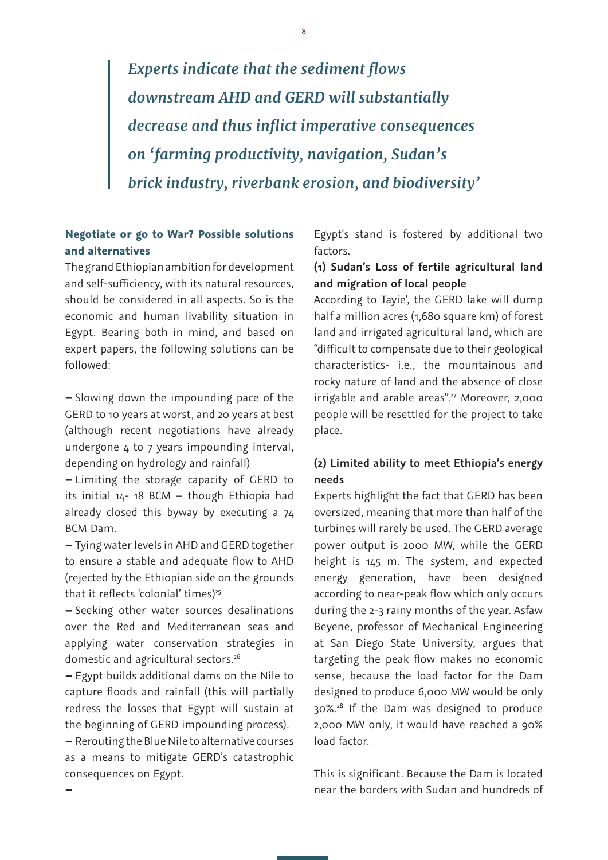*Experts indicate that the sediment flows downstream AHD and GERD will substantially decrease and thus inflict imperative consequences on 'farming productivity, navigation, Sudan's brick industry, riverbank erosion, and biodiversity'*

# **Negotiate or go to War? Possible solutions and alternatives**

The grand Ethiopian ambition for development and self-sufficiency, with its natural resources, should be considered in all aspects. So is the economic and human livability situation in Egypt. Bearing both in mind, and based on expert papers, the following solutions can be followed:

**–** Slowing down the impounding pace of the GERD to 10 years at worst, and 20 years at best (although recent negotiations have already undergone 4 to 7 years impounding interval, depending on hydrology and rainfall)

**–** Limiting the storage capacity of GERD to its initial  $14-18$  BCM – though Ethiopia had already closed this byway by executing a 74 BCM Dam.

**–** Tying water levels in AHD and GERD together to ensure a stable and adequate flow to AHD (rejected by the Ethiopian side on the grounds that it reflects 'colonial' times) $25$ 

**–** Seeking other water sources desalinations over the Red and Mediterranean seas and applying water conservation strategies in domestic and agricultural sectors.<sup>26</sup>

**–** Egypt builds additional dams on the Nile to capture floods and rainfall (this will partially redress the losses that Egypt will sustain at the beginning of GERD impounding process).

**–** Rerouting the Blue Nile to alternative courses as a means to mitigate GERD's catastrophic consequences on Egypt.

**–**

Egypt's stand is fostered by additional two factors.

# **(1) Sudan's Loss of fertile agricultural land and migration of local people**

According to Tayie', the GERD lake will dump half a million acres (1,680 square km) of forest land and irrigated agricultural land, which are "difficult to compensate due to their geological characteristics- i.e., the mountainous and rocky nature of land and the absence of close irrigable and arable areas".<sup>27</sup> Moreover, 2,000 people will be resettled for the project to take place.

# **(2) Limited ability to meet Ethiopia's energy needs**

Experts highlight the fact that GERD has been oversized, meaning that more than half of the turbines will rarely be used. The GERD average power output is 2000 MW, while the GERD height is 145 m. The system, and expected energy generation, have been designed according to near-peak flow which only occurs during the 2-3 rainy months of the year. Asfaw Beyene, professor of Mechanical Engineering at San Diego State University, argues that targeting the peak flow makes no economic sense, because the load factor for the Dam designed to produce 6,000 MW would be only 30%.28 If the Dam was designed to produce 2,000 MW only, it would have reached a 90% load factor.

This is significant. Because the Dam is located near the borders with Sudan and hundreds of

8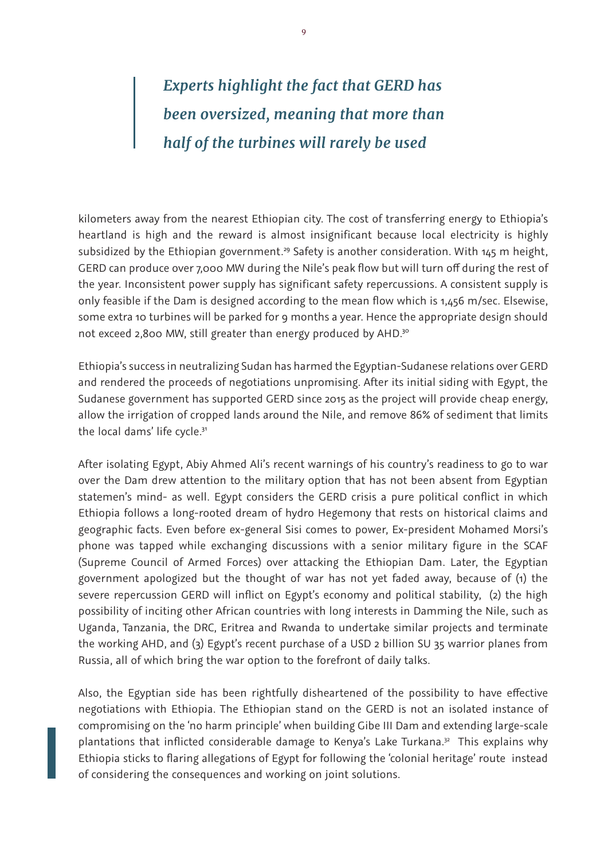# *Experts highlight the fact that GERD has been oversized, meaning that more than half of the turbines will rarely be used*

kilometers away from the nearest Ethiopian city. The cost of transferring energy to Ethiopia's heartland is high and the reward is almost insignificant because local electricity is highly subsidized by the Ethiopian government.<sup>29</sup> Safety is another consideration. With  $145$  m height, GERD can produce over 7,000 MW during the Nile's peak flow but will turn off during the rest of the year. Inconsistent power supply has significant safety repercussions. A consistent supply is only feasible if the Dam is designed according to the mean flow which is 1,456 m/sec. Elsewise, some extra 10 turbines will be parked for 9 months a year. Hence the appropriate design should not exceed 2,800 MW, still greater than energy produced by AHD.<sup>30</sup>

Ethiopia's success in neutralizing Sudan has harmed the Egyptian-Sudanese relations over GERD and rendered the proceeds of negotiations unpromising. After its initial siding with Egypt, the Sudanese government has supported GERD since 2015 as the project will provide cheap energy, allow the irrigation of cropped lands around the Nile, and remove 86% of sediment that limits the local dams' life cycle.<sup>31</sup>

After isolating Egypt, Abiy Ahmed Ali's recent warnings of his country's readiness to go to war over the Dam drew attention to the military option that has not been absent from Egyptian statemen's mind- as well. Egypt considers the GERD crisis a pure political conflict in which Ethiopia follows a long-rooted dream of hydro Hegemony that rests on historical claims and geographic facts. Even before ex-general Sisi comes to power, Ex-president Mohamed Morsi's phone was tapped while exchanging discussions with a senior military figure in the SCAF (Supreme Council of Armed Forces) over attacking the Ethiopian Dam. Later, the Egyptian government apologized but the thought of war has not yet faded away, because of (1) the severe repercussion GERD will inflict on Egypt's economy and political stability, (2) the high possibility of inciting other African countries with long interests in Damming the Nile, such as Uganda, Tanzania, the DRC, Eritrea and Rwanda to undertake similar projects and terminate the working AHD, and (3) Egypt's recent purchase of a USD 2 billion SU 35 warrior planes from Russia, all of which bring the war option to the forefront of daily talks.

Also, the Egyptian side has been rightfully disheartened of the possibility to have effective negotiations with Ethiopia. The Ethiopian stand on the GERD is not an isolated instance of compromising on the 'no harm principle' when building Gibe III Dam and extending large-scale plantations that inflicted considerable damage to Kenya's Lake Turkana.<sup>32</sup> This explains why Ethiopia sticks to flaring allegations of Egypt for following the 'colonial heritage' route instead of considering the consequences and working on joint solutions.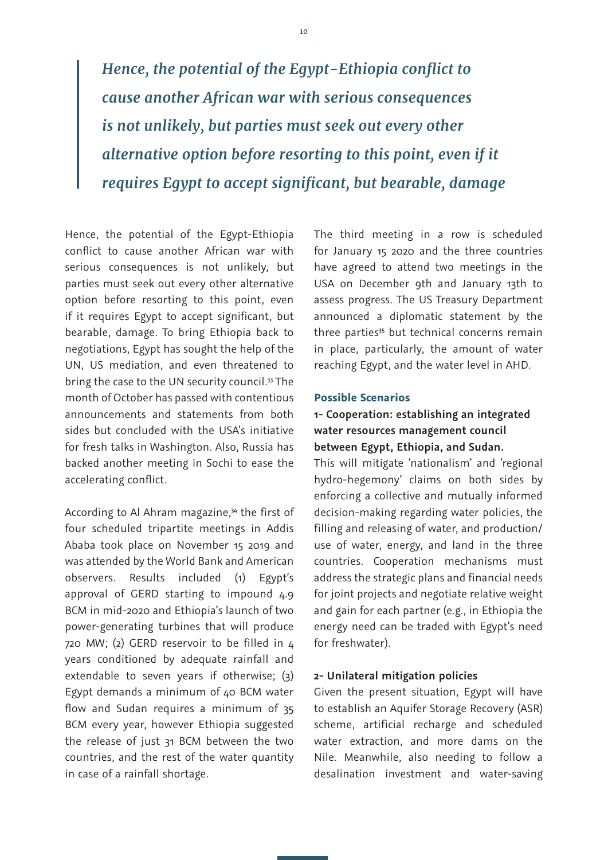*Hence, the potential of the Egypt-Ethiopia conflict to cause another African war with serious consequences is not unlikely, but parties must seek out every other alternative option before resorting to this point, even if it requires Egypt to accept significant, but bearable, damage*

Hence, the potential of the Egypt-Ethiopia conflict to cause another African war with serious consequences is not unlikely, but parties must seek out every other alternative option before resorting to this point, even if it requires Egypt to accept significant, but bearable, damage. To bring Ethiopia back to negotiations, Egypt has sought the help of the UN, US mediation, and even threatened to bring the case to the UN security council.<sup>33</sup> The month of October has passed with contentious announcements and statements from both sides but concluded with the USA's initiative for fresh talks in Washington. Also, Russia has backed another meeting in Sochi to ease the accelerating conflict.

According to Al Ahram magazine,<sup>34</sup> the first of four scheduled tripartite meetings in Addis Ababa took place on November 15 2019 and was attended by the World Bank and American observers. Results included (1) Egypt's approval of GERD starting to impound 4.9 BCM in mid-2020 and Ethiopia's launch of two power-generating turbines that will produce 720 MW; (2) GERD reservoir to be filled in 4 years conditioned by adequate rainfall and extendable to seven years if otherwise; (3) Egypt demands a minimum of 40 BCM water flow and Sudan requires a minimum of 35 BCM every year, however Ethiopia suggested the release of just 31 BCM between the two countries, and the rest of the water quantity in case of a rainfall shortage.

The third meeting in a row is scheduled for January 15 2020 and the three countries have agreed to attend two meetings in the USA on December 9th and January 13th to assess progress. The US Treasury Department announced a diplomatic statement by the three parties<sup>35</sup> but technical concerns remain in place, particularly, the amount of water reaching Egypt, and the water level in AHD.

#### **Possible Scenarios**

# **1- Cooperation: establishing an integrated water resources management council between Egypt, Ethiopia, and Sudan.**

This will mitigate 'nationalism' and 'regional hydro-hegemony' claims on both sides by enforcing a collective and mutually informed decision-making regarding water policies, the filling and releasing of water, and production/ use of water, energy, and land in the three countries. Cooperation mechanisms must address the strategic plans and financial needs for joint projects and negotiate relative weight and gain for each partner (e.g., in Ethiopia the energy need can be traded with Egypt's need for freshwater).

### **2- Unilateral mitigation policies**

Given the present situation, Egypt will have to establish an Aquifer Storage Recovery (ASR) scheme, artificial recharge and scheduled water extraction, and more dams on the Nile. Meanwhile, also needing to follow a desalination investment and water-saving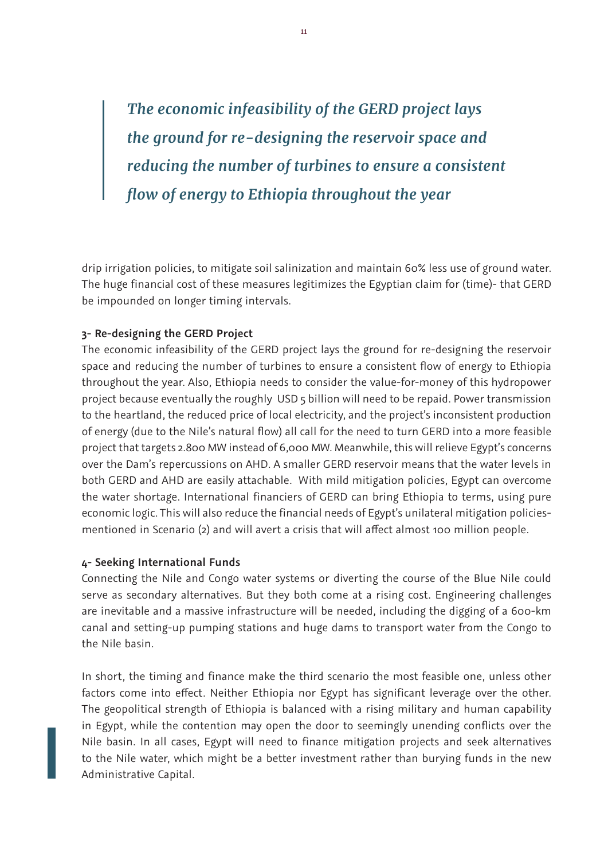*The economic infeasibility of the GERD project lays the ground for re-designing the reservoir space and reducing the number of turbines to ensure a consistent flow of energy to Ethiopia throughout the year*

drip irrigation policies, to mitigate soil salinization and maintain 60% less use of ground water. The huge financial cost of these measures legitimizes the Egyptian claim for (time)- that GERD be impounded on longer timing intervals.

### **3- Re-designing the GERD Project**

The economic infeasibility of the GERD project lays the ground for re-designing the reservoir space and reducing the number of turbines to ensure a consistent flow of energy to Ethiopia throughout the year. Also, Ethiopia needs to consider the value-for-money of this hydropower project because eventually the roughly USD 5 billion will need to be repaid. Power transmission to the heartland, the reduced price of local electricity, and the project's inconsistent production of energy (due to the Nile's natural flow) all call for the need to turn GERD into a more feasible project that targets 2.800 MW instead of 6,000 MW. Meanwhile, this will relieve Egypt's concerns over the Dam's repercussions on AHD. A smaller GERD reservoir means that the water levels in both GERD and AHD are easily attachable. With mild mitigation policies, Egypt can overcome the water shortage. International financiers of GERD can bring Ethiopia to terms, using pure economic logic. This will also reduce the financial needs of Egypt's unilateral mitigation policiesmentioned in Scenario (2) and will avert a crisis that will affect almost 100 million people.

### **4- Seeking International Funds**

Connecting the Nile and Congo water systems or diverting the course of the Blue Nile could serve as secondary alternatives. But they both come at a rising cost. Engineering challenges are inevitable and a massive infrastructure will be needed, including the digging of a 600-km canal and setting-up pumping stations and huge dams to transport water from the Congo to the Nile basin.

In short, the timing and finance make the third scenario the most feasible one, unless other factors come into effect. Neither Ethiopia nor Egypt has significant leverage over the other. The geopolitical strength of Ethiopia is balanced with a rising military and human capability in Egypt, while the contention may open the door to seemingly unending conflicts over the Nile basin. In all cases, Egypt will need to finance mitigation projects and seek alternatives to the Nile water, which might be a better investment rather than burying funds in the new Administrative Capital.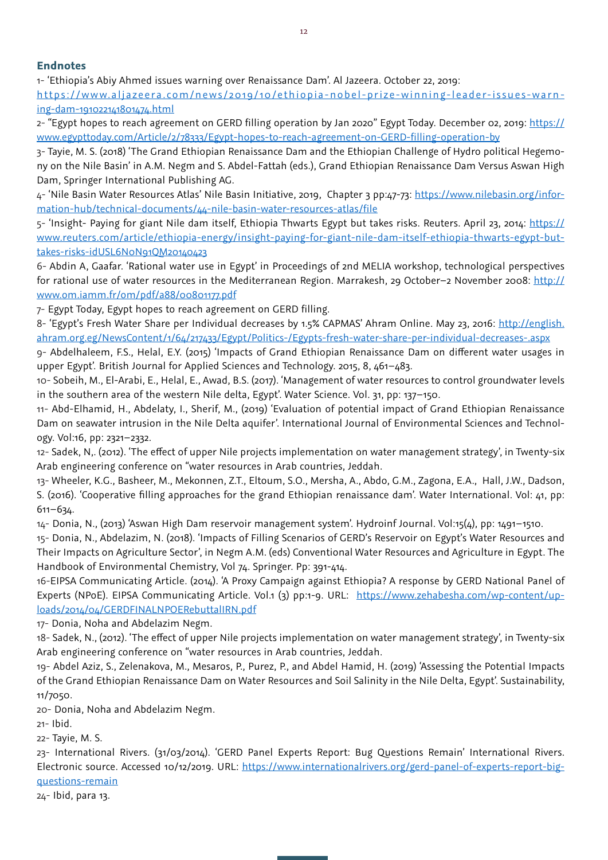### **Endnotes**

1- 'Ethiopia's Abiy Ahmed issues warning over Renaissance Dam'. Al Jazeera. October 22, 2019:

https://www.aljazeera.com/news/2019/10/ethiopia-nobel-prize-winning-leader-issues-warning-dam-191022141801474.html

2- "Egypt hopes to reach agreement on GERD filling operation by Jan 2020" Egypt Today. December 02, 2019: https:// www.egypttoday.com/Article/2/78333/Egypt-hopes-to-reach-agreement-on-GERD-filling-operation-by

3- Tayie, M. S. (2018) 'The Grand Ethiopian Renaissance Dam and the Ethiopian Challenge of Hydro political Hegemony on the Nile Basin' in A.M. Negm and S. Abdel-Fattah (eds.), Grand Ethiopian Renaissance Dam Versus Aswan High Dam, Springer International Publishing AG.

4- 'Nile Basin Water Resources Atlas' Nile Basin Initiative, 2019, Chapter 3 pp:47-73: https://www.nilebasin.org/information-hub/technical-documents/44-nile-basin-water-resources-atlas/file

5- 'Insight- Paying for giant Nile dam itself, Ethiopia Thwarts Egypt but takes risks. Reuters. April 23, 2014: https:// www.reuters.com/article/ethiopia-energy/insight-paying-for-giant-nile-dam-itself-ethiopia-thwarts-egypt-buttakes-risks-idUSL6N0N91QM20140423

6- Abdin A, Gaafar. 'Rational water use in Egypt' in Proceedings of 2nd MELIA workshop, technological perspectives for rational use of water resources in the Mediterranean Region. Marrakesh, 29 October–2 November 2008: http:// www.om.iamm.fr/om/pdf/a88/00801177.pdf

7- Egypt Today, Egypt hopes to reach agreement on GERD filling.

8- 'Egypt's Fresh Water Share per Individual decreases by 1.5% CAPMAS' Ahram Online. May 23, 2016: http://english. ahram.org.eg/NewsContent/1/64/217433/Egypt/Politics-/Egypts-fresh-water-share-per-individual-decreases-.aspx

9- Abdelhaleem, F.S., Helal, E.Y. (2015) 'Impacts of Grand Ethiopian Renaissance Dam on different water usages in upper Egypt'. British Journal for Applied Sciences and Technology. 2015, 8, 461–483.

10- Sobeih, M., El-Arabi, E., Helal, E., Awad, B.S. (2017). 'Management of water resources to control groundwater levels in the southern area of the western Nile delta, Egypt'. Water Science. Vol. 31, pp: 137–150.

11- Abd-Elhamid, H., Abdelaty, I., Sherif, M., (2019) 'Evaluation of potential impact of Grand Ethiopian Renaissance Dam on seawater intrusion in the Nile Delta aquifer'. International Journal of Environmental Sciences and Technology. Vol:16, pp: 2321–2332.

12- Sadek, N,. (2012). 'The effect of upper Nile projects implementation on water management strategy', in Twenty-six Arab engineering conference on "water resources in Arab countries, Jeddah.

13- Wheeler, K.G., Basheer, M., Mekonnen, Z.T., Eltoum, S.O., Mersha, A., Abdo, G.M., Zagona, E.A., Hall, J.W., Dadson, S. (2016). 'Cooperative filling approaches for the grand Ethiopian renaissance dam'. Water International. Vol: 41, pp: 611–634.

14- Donia, N., (2013) 'Aswan High Dam reservoir management system'. Hydroinf Journal. Vol:15(4), pp: 1491–1510.

15- Donia, N., Abdelazim, N. (2018). 'Impacts of Filling Scenarios of GERD's Reservoir on Egypt's Water Resources and Their Impacts on Agriculture Sector', in Negm A.M. (eds) Conventional Water Resources and Agriculture in Egypt. The Handbook of Environmental Chemistry, Vol 74. Springer. Pp: 391-414.

16-EIPSA Communicating Article. (2014). 'A Proxy Campaign against Ethiopia? A response by GERD National Panel of Experts (NPoE). EIPSA Communicating Article. Vol.1 (3) pp:1-9. URL: https://www.zehabesha.com/wp-content/uploads/2014/04/GERDFINALNPOERebuttalIRN.pdf

17- Donia, Noha and Abdelazim Negm.

18- Sadek, N., (2012). 'The effect of upper Nile projects implementation on water management strategy', in Twenty-six Arab engineering conference on "water resources in Arab countries, Jeddah.

19- Abdel Aziz, S., Zelenakova, M., Mesaros, P., Purez, P., and Abdel Hamid, H. (2019) 'Assessing the Potential Impacts of the Grand Ethiopian Renaissance Dam on Water Resources and Soil Salinity in the Nile Delta, Egypt'. Sustainability, 11/7050.

20- Donia, Noha and Abdelazim Negm.

21- Ibid.

22- Tayie, M. S.

23- International Rivers. (31/03/2014). 'GERD Panel Experts Report: Bug Questions Remain' International Rivers. Electronic source. Accessed 10/12/2019. URL: https://www.internationalrivers.org/gerd-panel-of-experts-report-bigquestions-remain

24- Ibid, para 13.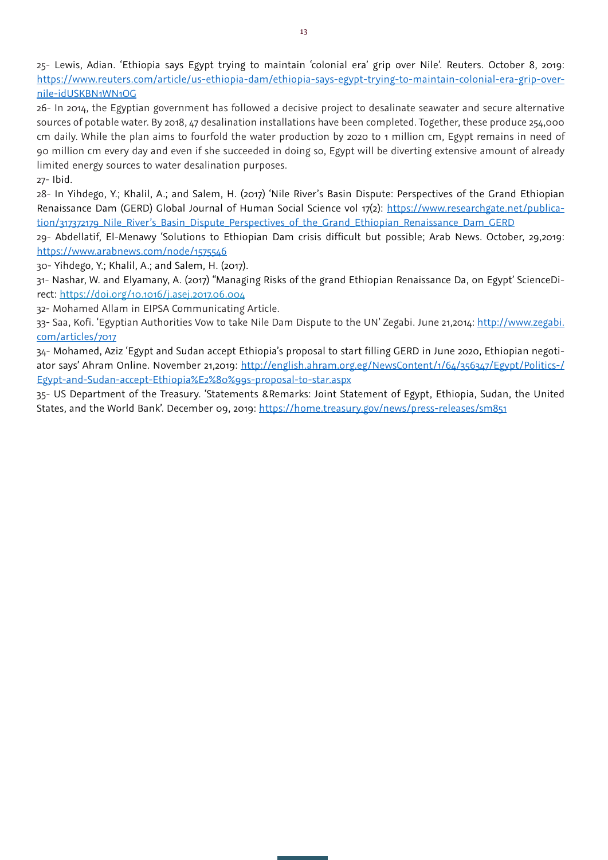25- Lewis, Adian. 'Ethiopia says Egypt trying to maintain 'colonial era' grip over Nile'. Reuters. October 8, 2019: https://www.reuters.com/article/us-ethiopia-dam/ethiopia-says-egypt-trying-to-maintain-colonial-era-grip-overnile-idUSKBN1WN1OG

26- In 2014, the Egyptian government has followed a decisive project to desalinate seawater and secure alternative sources of potable water. By 2018, 47 desalination installations have been completed. Together, these produce 254,000 cm daily. While the plan aims to fourfold the water production by 2020 to 1 million cm, Egypt remains in need of 90 million cm every day and even if she succeeded in doing so, Egypt will be diverting extensive amount of already limited energy sources to water desalination purposes. 27- Ibid.

28- In Yihdego, Y.; Khalil, A.; and Salem, H. (2017) 'Nile River's Basin Dispute: Perspectives of the Grand Ethiopian Renaissance Dam (GERD) Global Journal of Human Social Science vol 17(2): https://www.researchgate.net/publication/317372179\_Nile\_River's\_Basin\_Dispute\_Perspectives\_of\_the\_Grand\_Ethiopian\_Renaissance\_Dam\_GERD

29- Abdellatif, El-Menawy 'Solutions to Ethiopian Dam crisis difficult but possible; Arab News. October, 29,2019: https://www.arabnews.com/node/1575546

30- Yihdego, Y.; Khalil, A.; and Salem, H. (2017).

31- Nashar, W. and Elyamany, A. (2017) "Managing Risks of the grand Ethiopian Renaissance Da, on Egypt' ScienceDirect: https://doi.org/10.1016/j.asej.2017.06.004

32- Mohamed Allam in EIPSA Communicating Article.

33- Saa, Kofi. 'Egyptian Authorities Vow to take Nile Dam Dispute to the UN' Zegabi. June 21,2014: http://www.zegabi. com/articles/7017

34- Mohamed, Aziz 'Egypt and Sudan accept Ethiopia's proposal to start filling GERD in June 2020, Ethiopian negotiator says' Ahram Online. November 21,2019: http://english.ahram.org.eg/NewsContent/1/64/356347/Egypt/Politics-/ Egypt-and-Sudan-accept-Ethiopia%E2%80%99s-proposal-to-star.aspx

35- US Department of the Treasury. 'Statements &Remarks: Joint Statement of Egypt, Ethiopia, Sudan, the United States, and the World Bank'. December 09, 2019: https://home.treasury.gov/news/press-releases/sm851